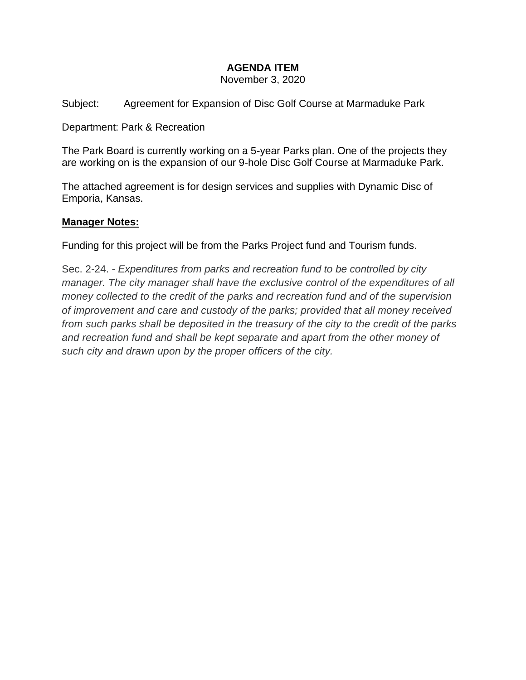# **AGENDA ITEM**

November 3, 2020

Subject: Agreement for Expansion of Disc Golf Course at Marmaduke Park

Department: Park & Recreation

The Park Board is currently working on a 5-year Parks plan. One of the projects they are working on is the expansion of our 9-hole Disc Golf Course at Marmaduke Park.

The attached agreement is for design services and supplies with Dynamic Disc of Emporia, Kansas.

### **Manager Notes:**

Funding for this project will be from the Parks Project fund and Tourism funds.

Sec. 2-24. - *Expenditures from parks and recreation fund to be controlled by city manager. The city manager shall have the exclusive control of the expenditures of all money collected to the credit of the parks and recreation fund and of the supervision of improvement and care and custody of the parks; provided that all money received from such parks shall be deposited in the treasury of the city to the credit of the parks and recreation fund and shall be kept separate and apart from the other money of such city and drawn upon by the proper officers of the city.*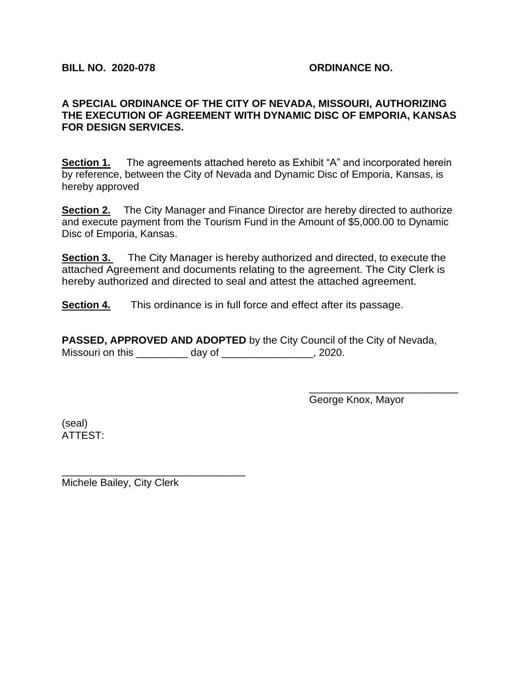#### **A SPECIAL ORDINANCE OF THE CITY OF NEVADA, MISSOURI, AUTHORIZING THE EXECUTION OF AGREEMENT WITH DYNAMIC DISC OF EMPORIA, KANSAS FOR DESIGN SERVICES.**

**Section 1.** The agreements attached hereto as Exhibit "A" and incorporated herein by reference, between the City of Nevada and Dynamic Disc of Emporia, Kansas, is hereby approved

**Section 2.** The City Manager and Finance Director are hereby directed to authorize and execute payment from the Tourism Fund in the Amount of \$5,000.00 to Dynamic Disc of Emporia, Kansas.

**Section 3.** The City Manager is hereby authorized and directed, to execute the attached Agreement and documents relating to the agreement. The City Clerk is hereby authorized and directed to seal and attest the attached agreement.

**Section 4.** This ordinance is in full force and effect after its passage.

**PASSED, APPROVED AND ADOPTED** by the City Council of the City of Nevada, Missouri on this \_\_\_\_\_\_\_\_\_ day of \_\_\_\_\_\_\_\_\_\_\_\_\_, 2020.

George Knox, Mayor

\_\_\_\_\_\_\_\_\_\_\_\_\_\_\_\_\_\_\_\_\_\_\_\_\_\_

(seal) ATTEST:

Michele Bailey, City Clerk

\_\_\_\_\_\_\_\_\_\_\_\_\_\_\_\_\_\_\_\_\_\_\_\_\_\_\_\_\_\_\_\_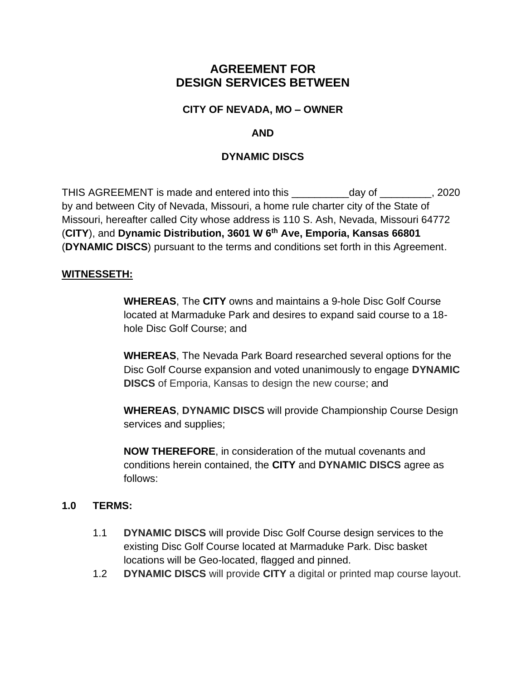# **AGREEMENT FOR DESIGN SERVICES BETWEEN**

# **CITY OF NEVADA, MO – OWNER**

# **AND**

# **DYNAMIC DISCS**

THIS AGREEMENT is made and entered into this \_\_\_\_\_\_\_\_\_\_day of \_\_\_\_\_\_\_\_\_, 2020 by and between City of Nevada, Missouri, a home rule charter city of the State of Missouri, hereafter called City whose address is 110 S. Ash, Nevada, Missouri 64772 (**CITY**), and **Dynamic Distribution, 3601 W 6th Ave, Emporia, Kansas 66801** (**DYNAMIC DISCS**) pursuant to the terms and conditions set forth in this Agreement.

### **WITNESSETH:**

**WHEREAS**, The **CITY** owns and maintains a 9-hole Disc Golf Course located at Marmaduke Park and desires to expand said course to a 18 hole Disc Golf Course; and

**WHEREAS**, The Nevada Park Board researched several options for the Disc Golf Course expansion and voted unanimously to engage **DYNAMIC DISCS** of Emporia, Kansas to design the new course; and

**WHEREAS**, **DYNAMIC DISCS** will provide Championship Course Design services and supplies;

**NOW THEREFORE**, in consideration of the mutual covenants and conditions herein contained, the **CITY** and **DYNAMIC DISCS** agree as follows:

### **1.0 TERMS:**

- 1.1 **DYNAMIC DISCS** will provide Disc Golf Course design services to the existing Disc Golf Course located at Marmaduke Park. Disc basket locations will be Geo-located, flagged and pinned.
- 1.2 **DYNAMIC DISCS** will provide **CITY** a digital or printed map course layout.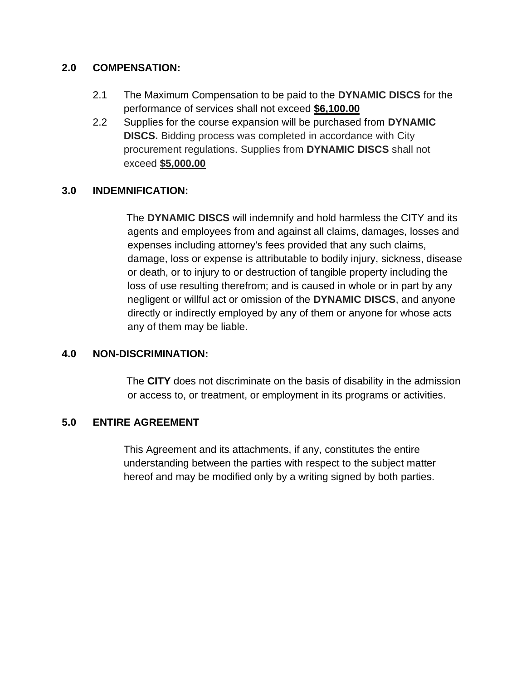### **2.0 COMPENSATION:**

- 2.1 The Maximum Compensation to be paid to the **DYNAMIC DISCS** for the performance of services shall not exceed **\$6,100.00**
- 2.2 Supplies for the course expansion will be purchased from **DYNAMIC DISCS.** Bidding process was completed in accordance with City procurement regulations. Supplies from **DYNAMIC DISCS** shall not exceed **\$5,000.00**

# **3.0 INDEMNIFICATION:**

The **DYNAMIC DISCS** will indemnify and hold harmless the CITY and its agents and employees from and against all claims, damages, losses and expenses including attorney's fees provided that any such claims, damage, loss or expense is attributable to bodily injury, sickness, disease or death, or to injury to or destruction of tangible property including the loss of use resulting therefrom; and is caused in whole or in part by any negligent or willful act or omission of the **DYNAMIC DISCS**, and anyone directly or indirectly employed by any of them or anyone for whose acts any of them may be liable.

# **4.0 NON-DISCRIMINATION:**

The **CITY** does not discriminate on the basis of disability in the admission or access to, or treatment, or employment in its programs or activities.

# **5.0 ENTIRE AGREEMENT**

This Agreement and its attachments, if any, constitutes the entire understanding between the parties with respect to the subject matter hereof and may be modified only by a writing signed by both parties.